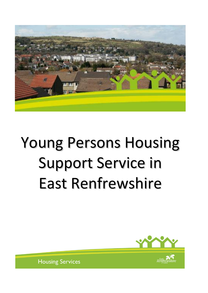

# Young Persons Housing Support Service in East Renfrewshire

**Accessibility**



**Housing Services**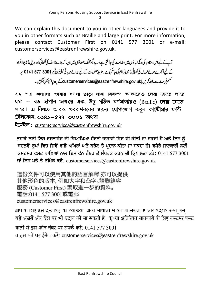We can explain this document to you in other languages and provide it to you in other formats such as Braille and large print. For more information, please contact Customer First on 0141 577 3001 or e-mail: customerservices@eastrenfrewshire.gov.uk.

آپ کے لیےاس دستاویز کی دیگرز بانوں میں دضاحت کی جاسکتی ہےاور پیدیگر مختلف صورتوں میں جیسا کہ بڑے تروف کی لکھائی اور بریل (نامبیناافراد کے لیے اُنجرےہوئے حروف کی لکھائی) میں فراہم کی جاسکتی ہے۔مزید معلومات کے لیے برائے مہربانی ٹیلیفون نمبر 3001 577 5141 پہ سٹمرفرسٹ سےدابط کریں یا customerservices@eastrenfrewshire.gov.uk\_ کے پیدیرای میل بھیجیں۔

এ২ পএ অন্যান্য ভাষায় বণনা ছাড়া নানা বিকল্প আকারেও দেয়া যেতে পারে যথা – বড় ছাপান অক্ষরে এবং উঁচু গঠিত বর্ণমালায়ও (Braille) দেয়া যেতে পারে। এ বিষয়ে আরও খবরাখবরের জন্যে যোগাযোগ করুন কাউৌমার ফর্ষি টেলিফোন: ০১৪১–৫৭৭ ৩০০১ অথবা

ইমেইল: customerservices@eastrenfrewshire.gov.uk

ਤਹਾਡੇ ਲਈ ਇਸ ਦਸਤਾਵੇਜ਼ ਦੀ ਵਿਆਖਿਆ ਹੋਰਨਾਂ ਭਾਸ਼ਾਵਾਂ ਵਿਚ ਵੀ ਕੀਤੀ ਜਾ ਸਕਦੀ ਹੈ ਅਤੇ ਇਸ ਨੰ ਬਦਲਵੇਂ ਰੂਪਾਂ ਵਿਚ ਜਿਵੇਂ ਵੱਡੇ ਅੱਖਰਾਂ ਅਤੇ ਬਰੇਲ ਤੇ ਪ੍ਰਦਾਨ ਕੀਤਾ ਜਾ ਸਕਦਾ ਹੈ। ਵਧੇਰੇ ਜਾਣਕਾਰੀ ਲਈ ਕਸਟਮਰ ਫਸਟ ਵਾਲਿਆਂ ਨਾਲ ਇਸ ਫੋਨ ਨੰਬਰ ਤੇ ਸੰਪਰਕ ਕਰਨ ਦੀ ਕ੍ਰਿਪਾਲਤਾ ਕਰੋ: 0141 577 3001 ਜਾਂ ਇਸ ਪਤੇ ਤੇ ਈਮੇਲ ਕਰੋ: customerservices@eastrenfrewshire.gov.uk

這份文件可以使用其他的語言解釋,亦可以提供 其他形色的版本, 例如大字和凸字。請聯絡客 服務 (Customer First) 索取進一步的資料。 電話:0141 577 3001或電郵 customerservices@eastrenfrewshire.gov.uk

आप क ालए इस दस्तावज़ का व्याख्या अन्य भाषाआ म का जा सकता ह आर बदलव रूपा जस बड़े अक्षरों और ब्रेल पर भी प्रदान की जा सकती है। कृप्या अतिरिक्त जानकारी के लिए कस्टमर फस्ट वालों से इस फोन नंबर पर संपर्क करें: 0141 577 3001 व इस पते पर ईमेल करें: customerservices@eastrenfrewshire.gov.uk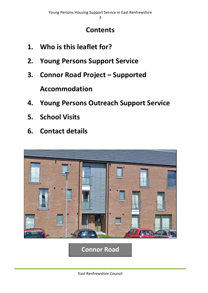## **Contents**

- **1. Who is this leaflet for?**
- **2. Young Persons Support Service**
- **3. Connor Road Project – Supported**

**Accommodation**

- **4. Young Persons Outreach Support Service**
- **5. School Visits**
- **6. Contact details**



**Connor Road**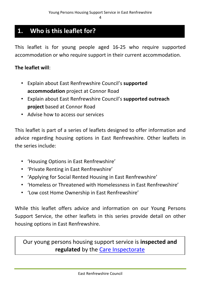### **1. Who is this leaflet for?**

This leaflet is for young people aged 16-25 who require supported accommodation or who require support in their current accommodation.

#### **The leaflet will**:

- Explain about East Renfrewshire Council's **supported accommodation** project at Connor Road
- Explain about East Renfrewshire Council's **supported outreach project** based at Connor Road
- Advise how to access our services

This leaflet is part of a series of leaflets designed to offer information and advice regarding housing options in East Renfrewshire. Other leaflets in the series include:

- 'Housing Options in East Renfrewshire'
- 'Private Renting in East Renfrewshire'
- 'Applying for Social Rented Housing in East Renfrewshire'
- 'Homeless or Threatened with Homelessness in East Renfrewshire'
- 'Low cost Home Ownership in East Renfrewshire'

While this leaflet offers advice and information on our Young Persons Support Service, the other leaflets in this series provide detail on other housing options in East Renfrewshire.

Our young persons housing support service is **inspected and regulated** by the [Care Inspectorate](http://www.careinspectorate.com/)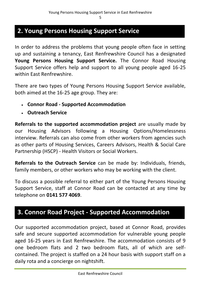#### **2. Young Persons Housing Support Service**

In order to address the problems that young people often face in setting up and sustaining a tenancy, East Renfrewshire Council has a designated **Young Persons Housing Support Service.** The Connor Road Housing Support Service offers help and support to all young people aged 16-25 within East Renfrewshire.

There are two types of Young Persons Housing Support Service available, both aimed at the 16-25 age group. They are:

- **Connor Road - Supported Accommodation**
- **Outreach Service**

**Referrals to the supported accommodation project** are usually made by our Housing Advisors following a Housing Options/Homelessness interview. Referrals can also come from other workers from agencies such as other parts of Housing Services, Careers Advisors, Health & Social Care Partnership (HSCP) - Health Visitors or Social Workers.

**Referrals to the Outreach Service** can be made by: Individuals, friends, family members, or other workers who may be working with the client.

To discuss a possible referral to either part of the Young Persons Housing Support Service, staff at Connor Road can be contacted at any time by telephone on **0141 577 4069**.

#### **3. Connor Road Project - Supported Accommodation**

Our supported accommodation project, based at Connor Road, provides safe and secure supported accommodation for vulnerable young people aged 16-25 years in East Renfrewshire. The accommodation consists of 9 one bedroom flats and 2 two bedroom flats, all of which are selfcontained. The project is staffed on a 24 hour basis with support staff on a daily rota and a concierge on nightshift.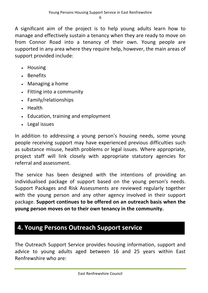A significant aim of the project is to help young adults learn how to manage and effectively sustain a tenancy when they are ready to move on from Connor Road into a tenancy of their own. Young people are supported in any area where they require help, however, the main areas of support provided include:

- Housing
- Benefits
- Managing a home
- Fitting into a community
- Family/relationships
- Health
- Education, training and employment
- Legal issues

In addition to addressing a young person's housing needs, some young people receiving support may have experienced previous difficulties such as substance misuse, health problems or legal issues. Where appropriate, project staff will link closely with appropriate statutory agencies for referral and assessment.

The service has been designed with the intentions of providing an individualised package of support based on the young person's needs. Support Packages and Risk Assessments are reviewed regularly together with the young person and any other agency involved in their support package. **Support continues to be offered on an outreach basis when the young person moves on to their own tenancy in the community.** 

### **4. Young Persons Outreach Support service**

The Outreach Support Service provides housing information, support and advice to young adults aged between 16 and 25 years within East Renfrewshire who are: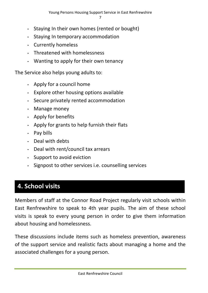- Staying In their own homes (rented or bought)
- Staying In temporary accommodation
- Currently homeless
- Threatened with homelessness
- Wanting to apply for their own tenancy

The Service also helps young adults to:

- Apply for a council home
- Explore other housing options available
- Secure privately rented accommodation
- Manage money
- Apply for benefits
- Apply for grants to help furnish their flats
- Pay bills
- Deal with debts
- Deal with rent/council tax arrears
- Support to avoid eviction
- Signpost to other services i.e. counselling services

## **4. School visits**

Members of staff at the Connor Road Project regularly visit schools within East Renfrewshire to speak to 4th year pupils. The aim of these school visits is speak to every young person in order to give them information about housing and homelessness.

These discussions include items such as homeless prevention, awareness of the support service and realistic facts about managing a home and the associated challenges for a young person.